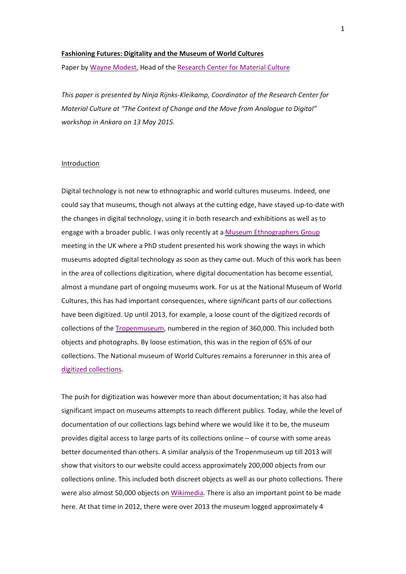# **Fashioning Futures: Digitality and the Museum of World Cultures**

Paper by [Wayne Modest,](mailto:Wayne.Modest@wereldculturen.nl) Head of the [Research Center for Material Culture](http://www.materialculture.nl/)

*This paper is presented by Ninja Rijnks-Kleikamp, Coordinator of the Research Center for Material Culture at "The Context of Change and the Move from Analogue to Digital" workshop in Ankara on 13 May 2015.*

#### Introduction

Digital technology is not new to ethnographic and world cultures museums. Indeed, one could say that museums, though not always at the cutting edge, have stayed up-to-date with the changes in digital technology, using it in both research and exhibitions as well as to engage with a broader public. I was only recently at a [Museum Ethnographers Group](http://www.museumethnographersgroup.org.uk/en/) meeting in the UK where a PhD student presented his work showing the ways in which museums adopted digital technology as soon as they came out. Much of this work has been in the area of collections digitization, where digital documentation has become essential, almost a mundane part of ongoing museums work. For us at the National Museum of World Cultures, this has had important consequences, where significant parts of our collections have been digitized. Up until 2013, for example, a loose count of the digitized records of collections of the [Tropenmuseum,](http://www.tropenmuseum.nl/) numbered in the region of 360,000. This included both objects and photographs. By loose estimation, this was in the region of 65% of our collections. The National museum of World Cultures remains a forerunner in this area of [digitized collections.](http://collectie.tropenmuseum.nl/default.aspx?lang=en)

The push for digitization was however more than about documentation; it has also had significant impact on museums attempts to reach different publics. Today, while the level of documentation of our collections lags behind where we would like it to be, the museum provides digital access to large parts of its collections online – of course with some areas better documented than others. A similar analysis of the Tropenmuseum up till 2013 will show that visitors to our website could access approximately 200,000 objects from our collections online. This included both discreet objects as well as our photo collections. There were also almost 50,000 objects on [Wikimedia.](http://commons.wikimedia.org/wiki/Commons:Tropenmuseum) There is also an important point to be made here. At that time in 2012, there were over 2013 the museum logged approximately 4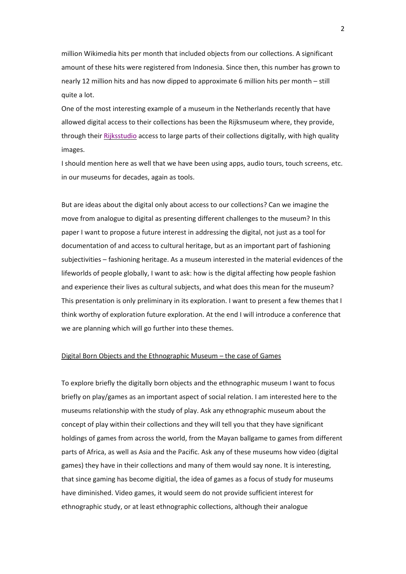million Wikimedia hits per month that included objects from our collections. A significant amount of these hits were registered from Indonesia. Since then, this number has grown to nearly 12 million hits and has now dipped to approximate 6 million hits per month – still quite a lot.

One of the most interesting example of a museum in the Netherlands recently that have allowed digital access to their collections has been the Rijksmuseum where, they provide, through their [Rijksstudio](https://www.rijksmuseum.nl/nl/rijksstudio) access to large parts of their collections digitally, with high quality images.

I should mention here as well that we have been using apps, audio tours, touch screens, etc. in our museums for decades, again as tools.

But are ideas about the digital only about access to our collections? Can we imagine the move from analogue to digital as presenting different challenges to the museum? In this paper I want to propose a future interest in addressing the digital, not just as a tool for documentation of and access to cultural heritage, but as an important part of fashioning subjectivities – fashioning heritage. As a museum interested in the material evidences of the lifeworlds of people globally, I want to ask: how is the digital affecting how people fashion and experience their lives as cultural subjects, and what does this mean for the museum? This presentation is only preliminary in its exploration. I want to present a few themes that I think worthy of exploration future exploration. At the end I will introduce a conference that we are planning which will go further into these themes.

### Digital Born Objects and the Ethnographic Museum – the case of Games

To explore briefly the digitally born objects and the ethnographic museum I want to focus briefly on play/games as an important aspect of social relation. I am interested here to the museums relationship with the study of play. Ask any ethnographic museum about the concept of play within their collections and they will tell you that they have significant holdings of games from across the world, from the Mayan ballgame to games from different parts of Africa, as well as Asia and the Pacific. Ask any of these museums how video (digital games) they have in their collections and many of them would say none. It is interesting, that since gaming has become digitial, the idea of games as a focus of study for museums have diminished. Video games, it would seem do not provide sufficient interest for ethnographic study, or at least ethnographic collections, although their analogue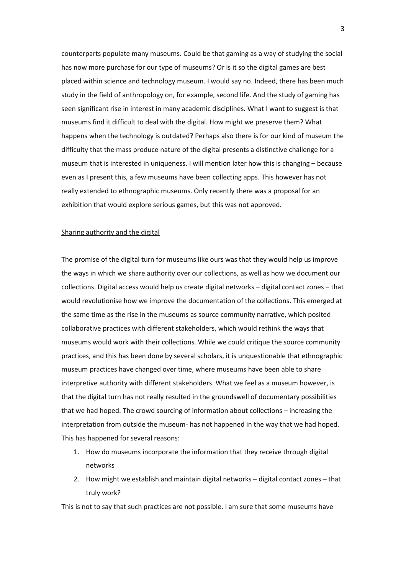counterparts populate many museums. Could be that gaming as a way of studying the social has now more purchase for our type of museums? Or is it so the digital games are best placed within science and technology museum. I would say no. Indeed, there has been much study in the field of anthropology on, for example, second life. And the study of gaming has seen significant rise in interest in many academic disciplines. What I want to suggest is that museums find it difficult to deal with the digital. How might we preserve them? What happens when the technology is outdated? Perhaps also there is for our kind of museum the difficulty that the mass produce nature of the digital presents a distinctive challenge for a museum that is interested in uniqueness. I will mention later how this is changing – because even as I present this, a few museums have been collecting apps. This however has not really extended to ethnographic museums. Only recently there was a proposal for an exhibition that would explore serious games, but this was not approved.

### Sharing authority and the digital

The promise of the digital turn for museums like ours was that they would help us improve the ways in which we share authority over our collections, as well as how we document our collections. Digital access would help us create digital networks – digital contact zones – that would revolutionise how we improve the documentation of the collections. This emerged at the same time as the rise in the museums as source community narrative, which posited collaborative practices with different stakeholders, which would rethink the ways that museums would work with their collections. While we could critique the source community practices, and this has been done by several scholars, it is unquestionable that ethnographic museum practices have changed over time, where museums have been able to share interpretive authority with different stakeholders. What we feel as a museum however, is that the digital turn has not really resulted in the groundswell of documentary possibilities that we had hoped. The crowd sourcing of information about collections – increasing the interpretation from outside the museum- has not happened in the way that we had hoped. This has happened for several reasons:

- 1. How do museums incorporate the information that they receive through digital networks
- 2. How might we establish and maintain digital networks digital contact zones that truly work?

This is not to say that such practices are not possible. I am sure that some museums have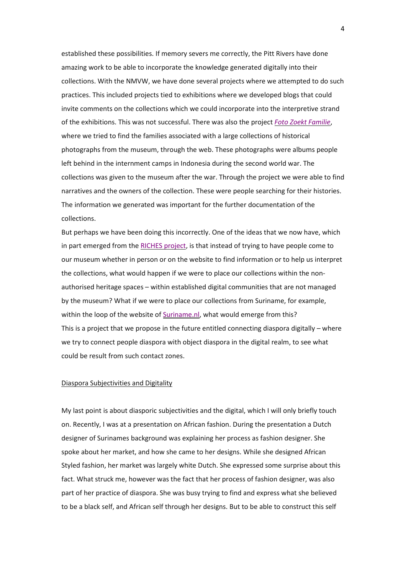established these possibilities. If memory severs me correctly, the Pitt Rivers have done amazing work to be able to incorporate the knowledge generated digitally into their collections. With the NMVW, we have done several projects where we attempted to do such practices. This included projects tied to exhibitions where we developed blogs that could invite comments on the collections which we could incorporate into the interpretive strand of the exhibitions. This was not successful. There was also the project *[Foto Zoekt Familie](http://www.fotozoektfamilie.nl/)*, where we tried to find the families associated with a large collections of historical photographs from the museum, through the web. These photographs were albums people left behind in the internment camps in Indonesia during the second world war. The collections was given to the museum after the war. Through the project we were able to find narratives and the owners of the collection. These were people searching for their histories. The information we generated was important for the further documentation of the collections.

But perhaps we have been doing this incorrectly. One of the ideas that we now have, which in part emerged from the [RICHES project,](http://www.riches-project.eu/index.html) is that instead of trying to have people come to our museum whether in person or on the website to find information or to help us interpret the collections, what would happen if we were to place our collections within the nonauthorised heritage spaces – within established digital communities that are not managed by the museum? What if we were to place our collections from Suriname, for example, within the loop of the website of [Suriname.nl,](http://www.suriname.nl/) what would emerge from this? This is a project that we propose in the future entitled connecting diaspora digitally – where we try to connect people diaspora with object diaspora in the digital realm, to see what could be result from such contact zones.

## Diaspora Subjectivities and Digitality

My last point is about diasporic subjectivities and the digital, which I will only briefly touch on. Recently, I was at a presentation on African fashion. During the presentation a Dutch designer of Surinames background was explaining her process as fashion designer. She spoke about her market, and how she came to her designs. While she designed African Styled fashion, her market was largely white Dutch. She expressed some surprise about this fact. What struck me, however was the fact that her process of fashion designer, was also part of her practice of diaspora. She was busy trying to find and express what she believed to be a black self, and African self through her designs. But to be able to construct this self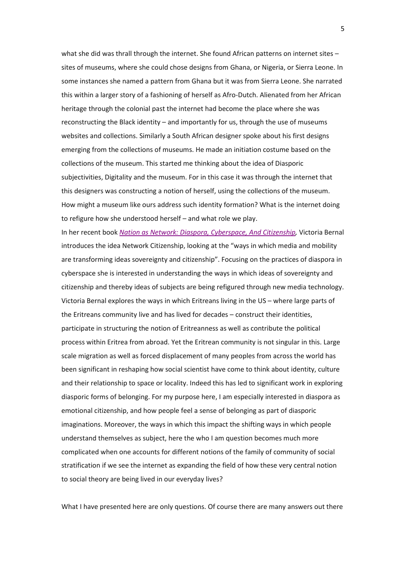what she did was thrall through the internet. She found African patterns on internet sites sites of museums, where she could chose designs from Ghana, or Nigeria, or Sierra Leone. In some instances she named a pattern from Ghana but it was from Sierra Leone. She narrated this within a larger story of a fashioning of herself as Afro-Dutch. Alienated from her African heritage through the colonial past the internet had become the place where she was reconstructing the Black identity – and importantly for us, through the use of museums websites and collections. Similarly a South African designer spoke about his first designs emerging from the collections of museums. He made an initiation costume based on the collections of the museum. This started me thinking about the idea of Diasporic subjectivities, Digitality and the museum. For in this case it was through the internet that this designers was constructing a notion of herself, using the collections of the museum. How might a museum like ours address such identity formation? What is the internet doing to refigure how she understood herself – and what role we play.

In her recent book *[Nation as Network: Diaspora, Cyberspace, And Citizenship,](http://www.press.uchicago.edu/ucp/books/book/chicago/N/bo18221277.html)* Victoria Bernal introduces the idea Network Citizenship, looking at the "ways in which media and mobility are transforming ideas sovereignty and citizenship". Focusing on the practices of diaspora in cyberspace she is interested in understanding the ways in which ideas of sovereignty and citizenship and thereby ideas of subjects are being refigured through new media technology. Victoria Bernal explores the ways in which Eritreans living in the US – where large parts of the Eritreans community live and has lived for decades – construct their identities, participate in structuring the notion of Eritreanness as well as contribute the political process within Eritrea from abroad. Yet the Eritrean community is not singular in this. Large scale migration as well as forced displacement of many peoples from across the world has been significant in reshaping how social scientist have come to think about identity, culture and their relationship to space or locality. Indeed this has led to significant work in exploring diasporic forms of belonging. For my purpose here, I am especially interested in diaspora as emotional citizenship, and how people feel a sense of belonging as part of diasporic imaginations. Moreover, the ways in which this impact the shifting ways in which people understand themselves as subject, here the who I am question becomes much more complicated when one accounts for different notions of the family of community of social stratification if we see the internet as expanding the field of how these very central notion to social theory are being lived in our everyday lives?

What I have presented here are only questions. Of course there are many answers out there

5